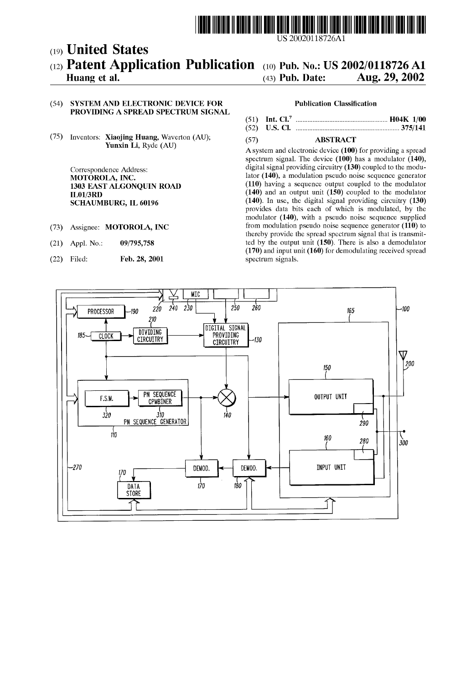

# (12) **Patent Application Publication** (10) Pub. No.: US 2002/0118726 A1 Huang et al. (43) Pub. Date: Aug. 29, 2002 (19) United States

# Huang et al.  $\overline{a}$  (43) Pub. Date: Aug. 29, 2002

## (54) SYSTEM AND ELECTRONIC DEVICE FOR PROVIDING A SPREAD SPECTRUM SIGNAL

(75) Inventors: Xiaojing Huang, Waverton (AU); Yunxin Li, Ryde (AU)

> Correspondence Address: MOTOROLA, INC. 1303 EAST ALGONQUIN ROAD IL01/3RD SCHAUMBURG, IL 60196

- (73) Assignee: MOTOROLA, INC
- (21) Appl. No.: 09/795,758
- (22) Filed: Feb. 28, 2001

### **Publication Classification**

| ---- |  |
|------|--|

(57) ABSTRACT

Asystem and electronic device (100) for providing a spread spectrum signal. The device  $(100)$  has a modulator  $(140)$ , digital signal providing circuitry (130) coupled to the modulator (140), a modulation pseudo noise sequence generator (110) having a sequence output coupled to the modulator  $(140)$  and an output unit  $(150)$  coupled to the modulator (140). In use, the digital signal providing circuitry (130) provides data bits each of Which is modulated, by the modulator (140), With a pseudo noise sequence supplied from modulation pseudo noise sequence generator (110) to thereby provide the spread spectrum signal that is transmit ted by the output unit (150). There is also a demodulator (170) and input unit (160) for demodulating received spread spectrum signals.

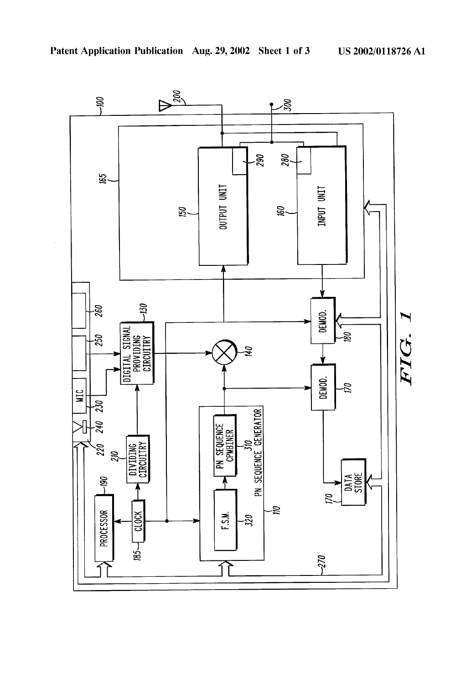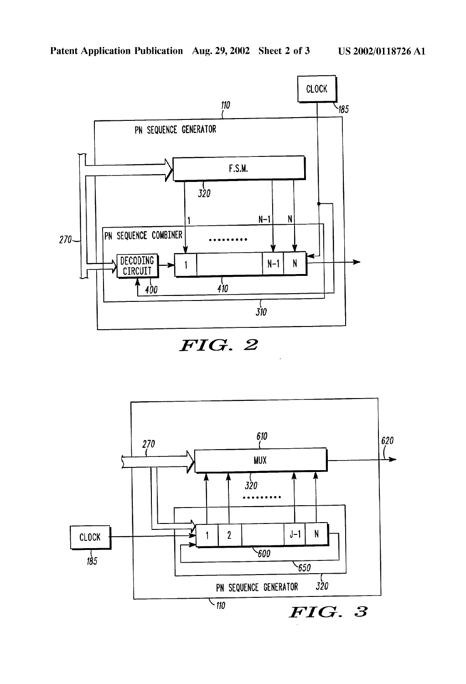

FIG. 2

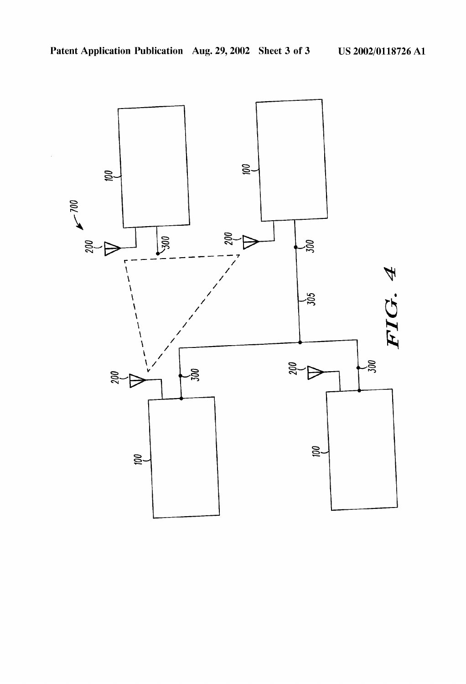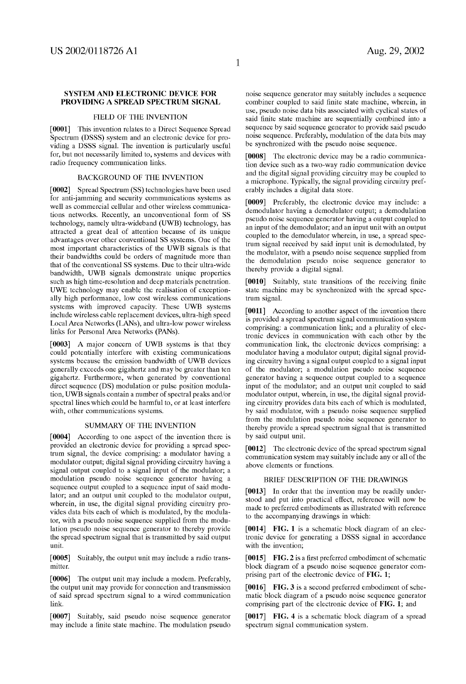### SYSTEM AND ELECTRONIC DEVICE FOR PROVIDING A SPREAD SPECTRUM SIGNAL

### FIELD OF THE INVENTION

[0001] This invention relates to a Direct Sequence Spread Spectrum (DSSS) system and an electronic device for pro viding a DSSS signal. The invention is particularly useful for, but not necessarily limited to, systems and devices With radio frequency communication links.

#### BACKGROUND OF THE INVENTION

[0002] Spread Spectrum (SS) technologies have been used for anti-jamming and security communications systems as well as commercial cellular and other wireless communications netWorks. Recently, an unconventional form of SS technology, namely ultra-Wideband (UWB) technology, has attracted a great deal of attention because of its unique advantages over other conventional SS systems. One of the most important characteristics of the UWB signals is that their bandWidths could be orders of magnitude more than that of the conventional SS systems. Due to their ultra-Wide bandWidth, UWB signals demonstrate unique properties such as high time-resolution and deep materials penetration. UWE technology may enable the realisation of exceptionally high performance, low cost wireless communications systems With improved capacity. These UWB systems include Wireless cable replacement devices, ultra-high speed Local Area Networks (LANs), and ultra-low power wireless links for Personal Area NetWorks (PANs).

[0003] A major concern of UWB systems is that they could potentially interfere With eXisting communications systems because the emission bandwidth of UWB devices generally exceeds one gigahertz and may be greater than ten gigahertz. Furthermore, when generated by conventional direct sequence (DS) modulation or pulse position modula tion, UWB signals contain a number of spectral peaks and/or spectral lines Which could be harmful to, or at least interfere with, other communications systems.

# SUMMARY OF THE INVENTION

[0004] According to one aspect of the invention there is provided an electronic device for providing a spread spec trum signal, the device comprising: a modulator having a modulator output; digital signal providing circuitry having a signal output coupled to a signal input of the modulator; a modulation pseudo noise sequence generator having a sequence output coupled to a sequence input of said modulator; and an output unit coupled to the modulator output, wherein, in use, the digital signal providing circuitry provides data bits each of Which is modulated, by the modula tor, With a pseudo noise sequence supplied from the modu lation pseudo noise sequence generator to thereby provide the spread spectrum signal that is transmitted by said output unit.

[0005] Suitably, the output unit may include a radio trans mitter.

[0006] The output unit may include a modem. Preferably, the output unit may provide for connection and transmission of said spread spectrum signal to a Wired communication link.

[0007] Suitably, said pseudo noise sequence generator may include a finite state machine. The modulation pseudo

noise sequence generator may suitably includes a sequence combiner coupled to said finite state machine, wherein, in use, pseudo noise data bits associated With cyclical states of said finite state machine are sequentially combined into a sequence by said sequence generator to provide said pseudo noise sequence. Preferably, modulation of the data bits may be synchronized with the pseudo noise sequence.

[0008] The electronic device may be a radio communication device such as a tWo-Way radio communication device and the digital signal providing circuitry may be coupled to a microphone. Typically, the signal providing circuitry pref erably includes a digital data store.

[0009] Preferably, the electronic device may include: a demodulator having a demodulator output; a demodulation pseudo noise sequence generator having a output coupled to an input of the demodulator; and an input unit With an output coupled to the demodulator Wherein, in use, a spread spec trum signal received by said input unit is demodulated, by the modulator, With a pseudo noise sequence supplied from the demodulation pseudo noise sequence generator to thereby provide a digital signal.

[0010] Suitably, state transitions of the receiving finite state machine may be synchronized with the spread spectrum signal.

[0011] According to another aspect of the invention there is provided a spread spectrum signal communication system comprising: a communication link; and a plurality of elec tronic devices in communication With each other by the communication link, the electronic devices comprising: a modulator having a modulator output; digital signal provid ing circuitry having a signal output coupled to a signal input of the modulator; a modulation pseudo noise sequence generator having a sequence output coupled to a sequence input of the modulator; and an output unit coupled to said modulator output, Wherein, in use, the digital signal provid ing circuitry provides data bits each of Which is modulated, by said modulator, With a pseudo noise sequence supplied from the modulation pseudo noise sequence generator to thereby provide a spread spectrum signal that is transmitted by said output unit.

[0012] The electronic device of the spread spectrum signal communication system may suitably include any or all of the above elements or functions.

#### BRIEF DESCRIPTION OF THE DRAWINGS

[0013] In order that the invention may be readily understood and put into practical effect, reference Will noW be made to preferred embodiments as illustrated With reference to the accompanying draWings in Which:

[0014] FIG. 1 is a schematic block diagram of an electronic device for generating a DSSS signal in accordance with the invention;

 $[0015]$  FIG. 2 is a first preferred embodiment of schematic block diagram of a pseudo noise sequence generator com prising part of the electronic device of FIG. 1;

[0016] FIG. 3 is a second preferred embodiment of schematic block diagram of a pseudo noise sequence generator comprising part of the electronic device of FIG. 1; and

[0017] FIG. 4 is a schematic block diagram of a spread spectrum signal communication system.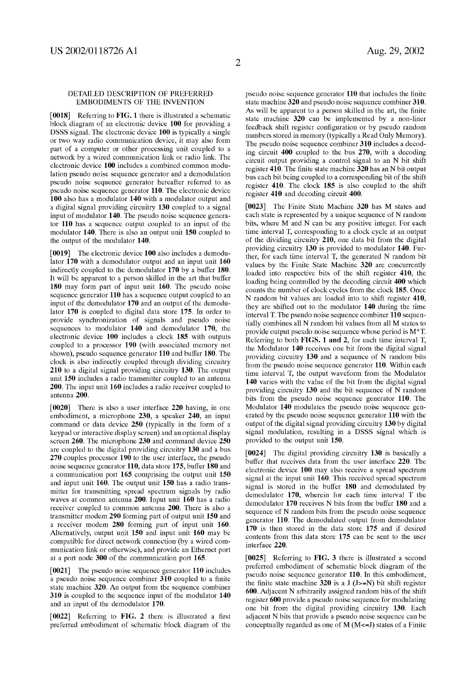### DETAILED DESCRIPTION OF PREFERRED EMBODIMENTS OF THE INVENTION

[0018] Referring to FIG. 1 there is illustrated a schematic block diagram of an electronic device 100 for providing a DSSS signal. The electronic device 100 is typically a single or tWo Way radio communication device, it may also form part of a computer or other processing unit coupled to a netWork by a Wired communication link or radio link. The electronic device 100 includes a combined common modu lation pseudo noise sequence generator and a demodulation pseudo noise sequence generator hereafter referred to as pseudo noise sequence generator 110. The electronic device 100 also has a modulator 140 with a modulator output and a digital signal providing circuitry 130 coupled to a signal input of modulator 140. The pseudo noise sequence genera tor 110 has a sequence output coupled to an input of the modulator 140. There is also an output unit 150 coupled to the output of the modulator 140.

[0019] The electronic device 100 also includes a demodulator 170 with a demodulator output and an input unit 160 indirectly coupled to the demodulator 170 by a buffer 180. It Will be apparent to a person skilled in the art that buffer 180 may form part of input unit 160. The pseudo noise sequence generator 110 has a sequence output coupled to an input of the demodulator 170 and an output of the demodu lator 170 is coupled to digital data store 175. In order to provide synchroniZation of signals and pseudo noise sequences to modulator 140 and demodulator 170, the electronic device 100 includes a clock 185 With outputs coupled to a processor 190 (With associated memory not shoWn), pseudo sequence generator 110 and buffer 180. The clock is also indirectly coupled through dividing circuitry 210 to a digital signal providing circuitry 130. The output unit 150 includes a radio transmitter coupled to an antenna 200. The input unit 160 includes a radio receiver coupled to antenna 200.

[0020] There is also a user interface 220 having, in one embodiment, a microphone 230, a speaker 240, an input command or data device 250 (typically in the form of a keypad or interactive display screen) and an optional display screen 260. The microphone 230 and command device 250 are coupled to the digital providing circuitry 130 and a bus 270 couples processor 190 to the user interface, the pseudo noise sequence generator 110, data store 175, buffer 180 and a communication port 165 comprising the output unit 150 and input unit 160. The output unit 150 has a radio trans mitter for transmitting spread spectrum signals by radio Waves at common antenna 200. Input unit 160 has a radio receiver coupled to common antenna 200. There is also a transmitter modem 290 forming part of output unit 150 and a receiver modem 280 forming part of input unit 160. Alternatively, output unit 150 and input unit 160 may be compatible for direct netWork connection (by a Wired com munication link or otherwise), and provide an Ethernet port at a port node 300 of the communication port 165.

 $[0021]$  The pseudo noise sequence generator 110 includes a pseudo noise sequence combiner 310 coupled to a finite state machine 320. An output from the sequence combiner 310 is coupled to the sequence input of the modulator 140 and an input of the demodulator 170.

 $[0022]$  Referring to FIG. 2 there is illustrated a first preferred embodiment of schematic block diagram of the pseudo noise sequence generator 110 that includes the finite state machine 320 and pseudo noise sequence combiner 310. As will be apparent to a person skilled in the art, the finite state machine 320 can be implemented by a non-liner feedback shift register configuration or by pseudo random numbers stored in memory (typically a Read Only Memory). The pseudo noise sequence combiner 310 includes a decod ing circuit 400 coupled to the bus 270, With a decoding circuit output providing a control signal to an N bit shift register 410. The finite state machine  $320$  has an N bit output bus each bit being coupled to a corresponding bit of the shift register 410. The clock 185 is also coupled to the shift register 410 and decoding circuit 400.

[0023] The Finite State Machine 320 has M states and each state is represented by a unique sequence of N random bits, Where M and N can be any positive integer. For each time interval T, corresponding to a clock cycle at an output of the dividing circuitry 210, one data bit from the digital providing circuitry 130 is provided to modulator 140. Fur ther, for each time interval T, the generated N random bit values by the Finite State Machine 320 are concurrently loaded into respective bits of the shift register 410, the loading being controlled by the decoding circuit 400 Which counts the number of clock cycles from the clock 185. Once N random bit values are loaded into to shift register 410, they are shifted out to the modulator 140 during the time interval T. The pseudo noise sequence combiner 110 sequen tially combines all N random bit values from all M states to provide output pseudo noise sequence Whose period is M\*T. Referring to both FIGS. 1 and 2, for each time interval T, the Modulator 140 receives one bit from the digital signal providing circuitry 130 and a sequence of N random bits from the pseudo noise sequence generator 110. Within each time interval T, the output Waveform from the Modulator 140 varies with the value of the bit from the digital signal providing circuitry 130 and the bit sequence of N random bits from the pseudo noise sequence generator 110. The Modulator 140 modulates the pseudo noise sequence gen erated by the pseudo noise sequence generator 110 With the output of the digital signal providing circuitry 130 by digital signal modulation, resulting in a DSSS signal Which is provided to the output unit 150.

[0024] The digital providing circuitry 130 is basically a buffer that receives data from the user interface 220. The electronic device 100 may also receive a spread spectrum signal at the input unit 160. This received spread spectrum signal is stored in the buffer 180 and demodulated by demodulator 170, Wherein for each time interval T the demodulator 170 receives N bits from the buffer 180 and a sequence of N random bits from the pseudo noise sequence generator 110. The demodulated output from demodulator 170 is then stored in the data store 175 and if desired contents from this data store 175 can be sent to the user interface 220.

[0025] Referring to FIG. 3 there is illustrated a second preferred embodiment of schematic block diagram of the pseudo noise sequence generator 110. In this embodiment, the finite state machine 320 is a J  $(J>=N)$  bit shift register 600. Adjacent N arbitrarily assigned random bits of the shift register 600 provide a pseudo noise sequence for modulating one bit from the digital providing circuitry 130. Each adjacent N bits that provide a pseudo noise sequence can be conceptually regarded as one of  $M$  ( $M < = J$ ) states of a Finite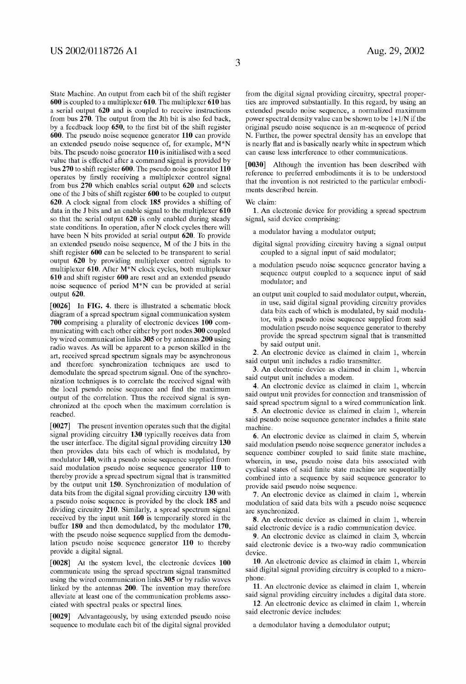State Machine. An output from each bit of the shift register 600 is coupled to a multiplexer 610. The multiplexer 610 has a serial output 620 and is coupled to receive instructions from bus  $270$ . The output from the Jth bit is also fed back, by a feedback loop 650, to the first bit of the shift register 600. The pseudo noise sequence generator 110 can provide an extended pseudo noise sequence of, for example, M\*N bits. The pseudo noise generator 110 is initialised With a seed value that is effected after a command signal is provided by bus 270 to shift register 600. The pseudo noise generator 110 operates by firstly receiving a multiplexer control signal from bus 270 Which enables serial output 620 and selects one of the J bits of shift register 600 to be coupled to output 620. A clock signal from clock 185 provides a shifting of data in the J bits and an enable signal to the multiplexer 610 so that the serial output 620 is only enabled during steady state conditions. In operation, after N clock cycles there Will have been N bits provided at serial output 620. To provide an extended pseudo noise sequence, M of the J bits in the shift register 600 can be selected to be transparent to serial output 620 by providing multiplexer control signals to multiplexer 610. After M\*N clock cycles, both multiplexer 610 and shift register 600 are reset and an extended pseudo noise sequence of period M\*N can be provided at serial output 620.

[0026] In FIG. 4. there is illustrated a schematic block diagram of a spread spectrum signal communication system 700 comprising a plurality of electronic devices 100 com municating With each other either by port nodes 300 coupled by Wired communication links 305 or by antennas 200 using radio Waves. As Will be apparent to a person skilled in the art, received spread spectrum signals may be asynchronous and therefore synchronization techniques are used to demodulate the spread spectrum signal. One of the synchro nization techniques is to correlate the received signal with the local pseudo noise sequence and find the maximum output of the correlation. Thus the received signal is syn chronized at the epoch when the maximum correlation is reached.

[0027] The present invention operates such that the digital signal providing circuitry 130 typically receives data from the user interface. The digital signal providing circuitry 130 then provides data bits each of Which is modulated, by modulator 140, With a pseudo noise sequence supplied from said modulation pseudo noise sequence generator 110 to thereby provide a spread spectrum signal that is transmitted by the output unit 150. Synchronization of modulation of data bits from the digital signal providing circuitry 130 With a pseudo noise sequence is provided by the clock 185 and dividing circuitry 210. Similarly, a spread spectrum signal received by the input unit 160 is temporarily stored in the buffer 180 and then demodulated, by the modulator 170, with the pseudo noise sequence supplied from the demodulation pseudo noise sequence generator 110 to thereby provide a digital signal.

[0028] At the system level, the electronic devices 100 communicate using the spread spectrum signal transmitted using the Wired communication links 305 or by radio Waves linked by the antennas 200. The invention may therefore alleviate at least one of the communication problems asso ciated With spectral peaks or spectral lines.

[0029] Advantageously, by using extended pseudo noise sequence to modulate each bit of the digital signal provided from the digital signal providing circuitry, spectral proper ties are improved substantially. In this regard, by using an extended pseudo noise sequence, a normalized maximum poWer spectral density value can be shoWn to be 1+1/N if the original pseudo noise sequence is an m-sequence of period N. Further, the power spectral density has an envelope that is nearly flat and is basically nearly white in spectrum which can cause less interference to other communications.

[0030] Although the invention has been described with reference to preferred embodiments it is to be understood that the invention is not restricted to the particular embodi ments described herein.

We claim:

1. An electronic device for providing a spread spectrum signal, said device comprising:

- a modulator having a modulator output;
- digital signal providing circuitry having a signal output coupled to a signal input of said modulator;
- a modulation pseudo noise sequence generator having a sequence output coupled to a sequence input of said modulator; and
- an output unit coupled to said modulator output, Wherein, in use, said digital signal providing circuitry provides data bits each of Which is modulated, by said modula tor, With a pseudo noise sequence supplied from said modulation pseudo noise sequence generator to thereby provide the spread spectrum signal that is transmitted by said output unit.

2. An electronic device as claimed in claim 1, Wherein said output unit includes a radio transmitter.

3. An electronic device as claimed in claim 1, Wherein said output unit includes a modem.

4. An electronic device as claimed in claim 1, Wherein said output unit provides for connection and transmission of said spread spectrum signal to a Wired communication link.

5. An electronic device as claimed in claim 1, Wherein said pseudo noise sequence generator includes a finite state machine.

6. An electronic device as claimed in claim 5, Wherein said modulation pseudo noise sequence generator includes a sequence combiner coupled to said finite state machine, Wherein, in use, pseudo noise data bits associated With cyclical states of said finite state machine are sequentially combined into a sequence by said sequence generator to provide said pseudo noise sequence.

7. An electronic device as claimed in claim 1, Wherein modulation of said data bits With a pseudo noise sequence are synchronized.

8. An electronic device as claimed in claim 1, Wherein said electronic device is a radio communication device.

9. An electronic device as claimed in claim 3, Wherein said electronic device is a two-way radio communication device.

10. An electronic device as claimed in claim 1, Wherein said digital signal providing circuitry is coupled to a micro phone.

11. An electronic device as claimed in claim 1, Wherein said signal providing circuitry includes a digital data store.

12. An electronic device as claimed in claim 1, Wherein said electronic device includes:

a demodulator having a demodulator output;